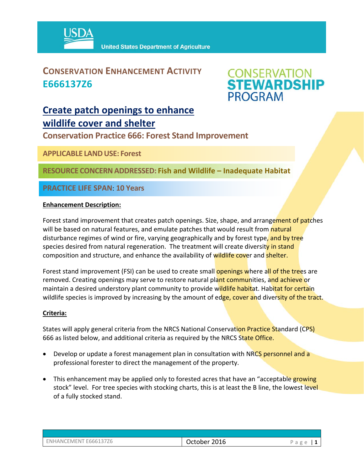

### **CONSERVATION ENHANCEMENT ACTIVITY E666137Z6**



### **Create patch openings to enhance wildlife cover and shelter**

**Conservation Practice 666: Forest Stand Improvement** 

**APPLICABLE LANDUSE: Forest** 

**RESOURCE CONCERNADDRESSED: Fish and Wildlife – Inadequate Habitat**

**PRACTICE LIFE SPAN**: **10 Years**

### **Enhancement Description:**

Forest stand improvement that creates patch openings. Size, shape, and arrangement of patches will be based on natural features, and emulate patches that would result from natural disturbance regimes of wind or fire, varying geographically and by forest type, and by tree species desired from natural regeneration. The treatment will create diversity in stand composition and structure, and enhance the availability of wildlife cover and shelter.

Forest stand improvement (FSI) can be used to create small **openings where all of the trees** are removed. Creating openings may serve to restore natural plant communities, and achieve or maintain a desired understory plant community to provide wildlife habitat. Habitat for certain wildlife species is improved by increasing by the amount of edge, cover and diversity of the tract.

#### **Criteria:**

States will apply general criteria from the NRCS National Conservation Practice Standard (CPS) 666 as listed below, and additional criteria as required by the NRCS State Office.

- Develop or update a forest management plan in consultation with NRCS personnel and a professional forester to direct the management of the property.
- This enhancement may be applied only to forested acres that have an "acceptable growing stock" level. For tree species with stocking charts, this is at least the B line, the lowest level of a fully stocked stand.

| ENHANCEMENT E666137Z6 |  |
|-----------------------|--|
|                       |  |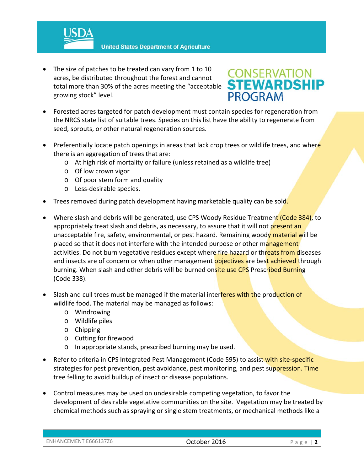**United States Department of Agriculture** 

• The size of patches to be treated can vary from 1 to 10 acres, be distributed throughout the forest and cannot total more than 30% of the acres meeting the "acceptable growing stock" level.

## **CONSERVATION<br>STEWARDSHIP PROGRAM**

- Forested acres targeted for patch development must contain species for regeneration from the NRCS state list of suitable trees. Species on this list have the ability to regenerate from seed, sprouts, or other natural regeneration sources.
- Preferentially locate patch openings in areas that lack crop trees or wildlife trees, and where there is an aggregation of trees that are:
	- o At high risk of mortality or failure (unless retained as a wildlife tree)
	- o Of low crown vigor
	- o Of poor stem form and quality
	- o Less‐desirable species.
- Trees removed during patch development having marketable quality can be sold.
- Where slash and debris will be generated, use CPS Woody Residue Treatment (Code 384), to appropriately treat slash and debris, as necessary, to assure that it will not present an unacceptable fire, safety, environmental, or pest hazard. Remaining woody material will be placed so that it does not interfere with the intended purpose or other management activities. Do not burn vegetative residues except where fire hazard or threats from diseases and insects are of concern or when other management objectives are best achieved through burning. When slash and other debris will be burned onsite use CPS Prescribed Burning (Code 338).
- Slash and cull trees must be managed if the material interferes with the production of wildlife food. The material may be managed as follows:
	- o Windrowing
	- o Wildlife piles
	- o Chipping
	- o Cutting for firewood
	- o In appropriate stands, prescribed burning may be used.
- Refer to criteria in CPS Integrated Pest Management (Code 595) to assist with site-specific strategies for pest prevention, pest avoidance, pest monitoring, and pest suppression. Time tree felling to avoid buildup of insect or disease populations.
- Control measures may be used on undesirable competing vegetation, to favor the development of desirable vegetative communities on the site. Vegetation may be treated by chemical methods such as spraying or single stem treatments, or mechanical methods like a

| ENHANCEMENT E666137Z6 | 2016<br>October | d<br>$\overline{\phantom{a}}$ |
|-----------------------|-----------------|-------------------------------|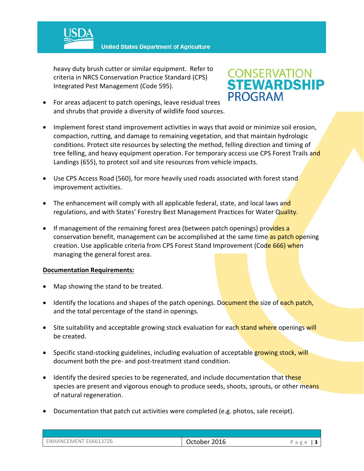

**United States Department of Agriculture** 

heavy duty brush cutter or similar equipment. Refer to criteria in NRCS Conservation Practice Standard (CPS) Integrated Pest Management (Code 595).

# **CONSERVATION<br>STEWARDSHIP PROGRAM**

- For areas adjacent to patch openings, leave residual trees and shrubs that provide a diversity of wildlife food sources.
- Implement forest stand improvement activities in ways that avoid or minimize soil erosion, compaction, rutting, and damage to remaining vegetation, and that maintain hydrologic conditions. Protect site resources by selecting the method, felling direction and timing of tree felling, and heavy equipment operation. For temporary access use CPS Forest Trails and Landings (655), to protect soil and site resources from vehicle impacts.
- Use CPS Access Road (560), for more heavily used roads associated with forest stand improvement activities.
- The enhancement will comply with all applicable federal, state, and local laws and regulations, and with States' Forestry Best Management Practices for Water Quality.
- If management of the remaining forest area (between patch openings) provides a conservation benefit, management can be accomplished at the same time as patch opening creation. Use applicable criteria from CPS Forest Stand Improvement (Code 666) when managing the general forest area.

#### **Documentation Requirements:**

- Map showing the stand to be treated.
- **IDENT** Identify the locations and shapes of the patch openings. Document the size of each patch, and the total percentage of the stand in openings.
- Site suitability and acceptable growing stock evaluation for each stand where openings will be created.
- Specific stand-stocking guidelines, including evaluation of acceptable growing stock, will document both the pre‐ and post‐treatment stand condition.
- Identify the desired species to be regenerated, and include documentation that these species are present and vigorous enough to produce seeds, shoots, sprouts, or other means of natural regeneration.
- Documentation that patch cut activities were completed (e.g. photos, sale receipt).

| ENHANCEMENT E666137Z6 | 2016<br>October . | $\sim$ |
|-----------------------|-------------------|--------|